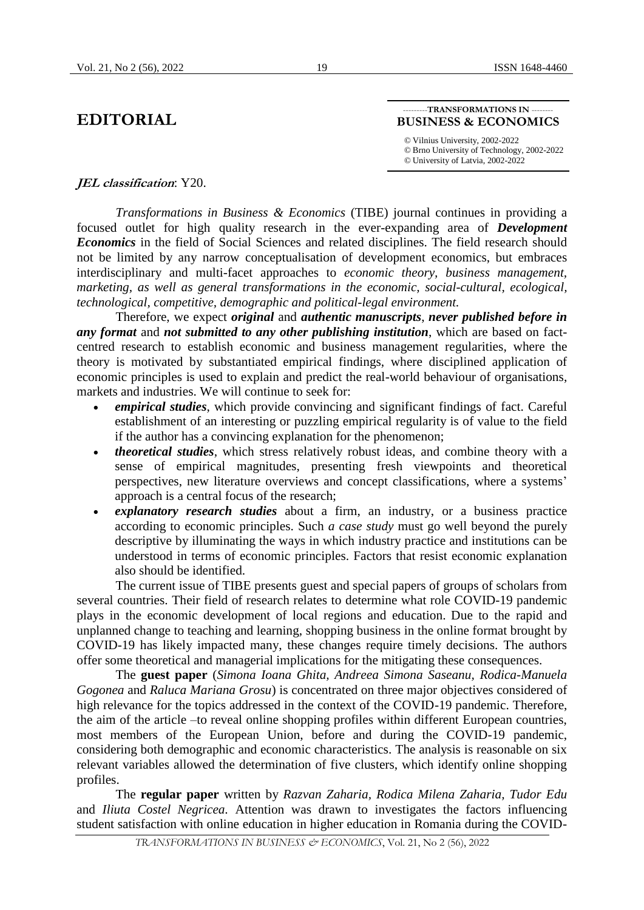## **EDITORIAL**

## ---TRANSFORMATIONS IN ---**BUSINESS & ECONOMICS**

*©* Vilnius University, 2002-2022 *©* Brno University of Technology, 2002-2022 *©* University of Latvia, 2002-2022

## **JEL classification**: Y20.

*Transformations in Business & Economics* (TIBE) journal continues in providing a focused outlet for high quality research in the ever-expanding area of *Development Economics* in the field of Social Sciences and related disciplines. The field research should not be limited by any narrow conceptualisation of development economics, but embraces interdisciplinary and multi-facet approaches to *economic theory, business management, marketing, as well as general transformations in the economic, social-cultural, ecological, technological, competitive, demographic and political-legal environment.*

Therefore, we expect *original* and *authentic manuscripts*, *never published before in any format* and *not submitted to any other publishing institution*, which are based on factcentred research to establish economic and business management regularities, where the theory is motivated by substantiated empirical findings, where disciplined application of economic principles is used to explain and predict the real-world behaviour of organisations, markets and industries. We will continue to seek for:

- *empirical studies*, which provide convincing and significant findings of fact. Careful establishment of an interesting or puzzling empirical regularity is of value to the field if the author has a convincing explanation for the phenomenon;
- *theoretical studies*, which stress relatively robust ideas, and combine theory with a sense of empirical magnitudes, presenting fresh viewpoints and theoretical perspectives, new literature overviews and concept classifications, where a systems' approach is a central focus of the research;
- *explanatory research studies* about a firm, an industry, or a business practice according to economic principles. Such *a case study* must go well beyond the purely descriptive by illuminating the ways in which industry practice and institutions can be understood in terms of economic principles. Factors that resist economic explanation also should be identified.

The current issue of TIBE presents guest and special papers of groups of scholars from several countries. Their field of research relates to determine what role COVID-19 pandemic plays in the economic development of local regions and education. Due to the rapid and unplanned change to teaching and learning, shopping business in the online format brought by COVID-19 has likely impacted many, these changes require timely decisions. The authors offer some theoretical and managerial implications for the mitigating these consequences.

The **guest paper** (*Simona Ioana Ghita, Andreea Simona Saseanu, Rodica-Manuela Gogonea* and *Raluca Mariana Grosu*) is concentrated on three major objectives considered of high relevance for the topics addressed in the context of the COVID-19 pandemic. Therefore, the aim of the article –to reveal online shopping profiles within different European countries, most members of the European Union, before and during the COVID-19 pandemic, considering both demographic and economic characteristics. The analysis is reasonable on six relevant variables allowed the determination of five clusters, which identify online shopping profiles.

The **regular paper** written by *Razvan Zaharia, Rodica Milena Zaharia, Tudor Edu*  and *Iliuta Costel Negricea.* Attention was drawn to investigates the factors influencing student satisfaction with online education in higher education in Romania during the COVID-

19